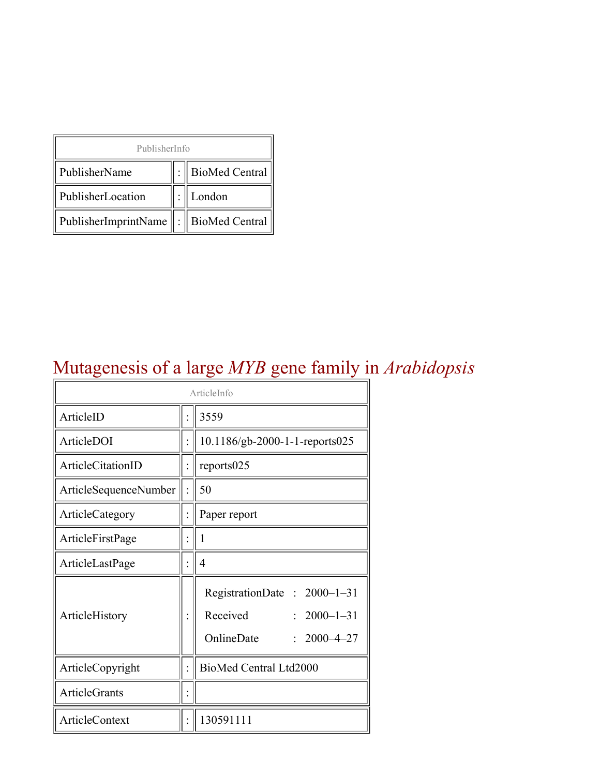| PublisherInfo                         |  |                    |  |  |
|---------------------------------------|--|--------------------|--|--|
| PublisherName                         |  | :   BioMed Central |  |  |
| PublisherLocation                     |  | London             |  |  |
| PublisherImprintName : BioMed Central |  |                    |  |  |

## Mutagenesis of a large *MYB* gene family in *Arabidopsis*

| ArticleInfo              |  |                                                                                                                           |  |
|--------------------------|--|---------------------------------------------------------------------------------------------------------------------------|--|
| ArticleID                |  | 3559                                                                                                                      |  |
| ArticleDOI               |  | 10.1186/gb-2000-1-1-reports025                                                                                            |  |
| <b>ArticleCitationID</b> |  | reports025                                                                                                                |  |
| ArticleSequenceNumber    |  | 50                                                                                                                        |  |
| ArticleCategory          |  | Paper report                                                                                                              |  |
| ArticleFirstPage         |  | 1                                                                                                                         |  |
| ArticleLastPage          |  | 4                                                                                                                         |  |
| ArticleHistory           |  | RegistrationDate: 2000-1-31<br>Received<br>$: 2000 - 1 - 31$<br>OnlineDate<br>$2000 - 4 - 27$<br>$\overline{\mathcal{C}}$ |  |
| ArticleCopyright         |  | BioMed Central Ltd2000                                                                                                    |  |
| <b>ArticleGrants</b>     |  |                                                                                                                           |  |
| <b>ArticleContext</b>    |  | 130591111                                                                                                                 |  |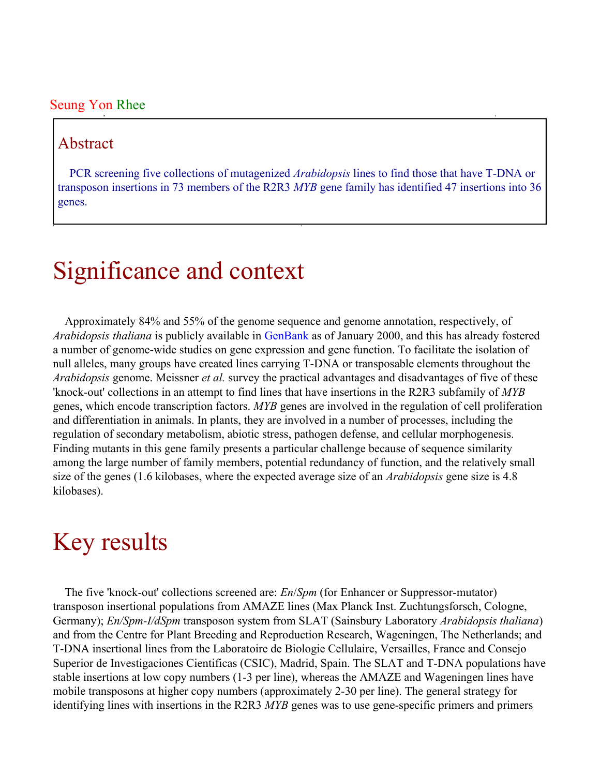#### Seung Yon Rhee

### Abstract

PCR screening five collections of mutagenized *Arabidopsis* lines to find those that have T-DNA or transposon insertions in 73 members of the R2R3 *MYB* gene family has identified 47 insertions into 36 genes.

## Significance and context

Approximately 84% and 55% of the genome sequence and genome annotation, respectively, of *Arabidopsis thaliana* is publicly available in [GenBank](http://www.ncbi.nlm.nih.gov/Entrez/) as of January 2000, and this has already fostered a number of genome-wide studies on gene expression and gene function. To facilitate the isolation of null alleles, many groups have created lines carrying T-DNA or transposable elements throughout the *Arabidopsis* genome. Meissner *et al.* survey the practical advantages and disadvantages of five of these 'knock-out' collections in an attempt to find lines that have insertions in the R2R3 subfamily of *MYB* genes, which encode transcription factors. *MYB* genes are involved in the regulation of cell proliferation and differentiation in animals. In plants, they are involved in a number of processes, including the regulation of secondary metabolism, abiotic stress, pathogen defense, and cellular morphogenesis. Finding mutants in this gene family presents a particular challenge because of sequence similarity among the large number of family members, potential redundancy of function, and the relatively small size of the genes (1.6 kilobases, where the expected average size of an *Arabidopsis* gene size is 4.8 kilobases).

## Key results

The five 'knock-out' collections screened are: *En*/*Spm* (for Enhancer or Suppressor-mutator) transposon insertional populations from AMAZE lines (Max Planck Inst. Zuchtungsforsch, Cologne, Germany); *En/Spm-I/dSpm* transposon system from SLAT (Sainsbury Laboratory *Arabidopsis thaliana*) and from the Centre for Plant Breeding and Reproduction Research, Wageningen, The Netherlands; and T-DNA insertional lines from the Laboratoire de Biologie Cellulaire, Versailles, France and Consejo Superior de Investigaciones Cientificas (CSIC), Madrid, Spain. The SLAT and T-DNA populations have stable insertions at low copy numbers (1-3 per line), whereas the AMAZE and Wageningen lines have mobile transposons at higher copy numbers (approximately 2-30 per line). The general strategy for identifying lines with insertions in the R2R3 *MYB* genes was to use gene-specific primers and primers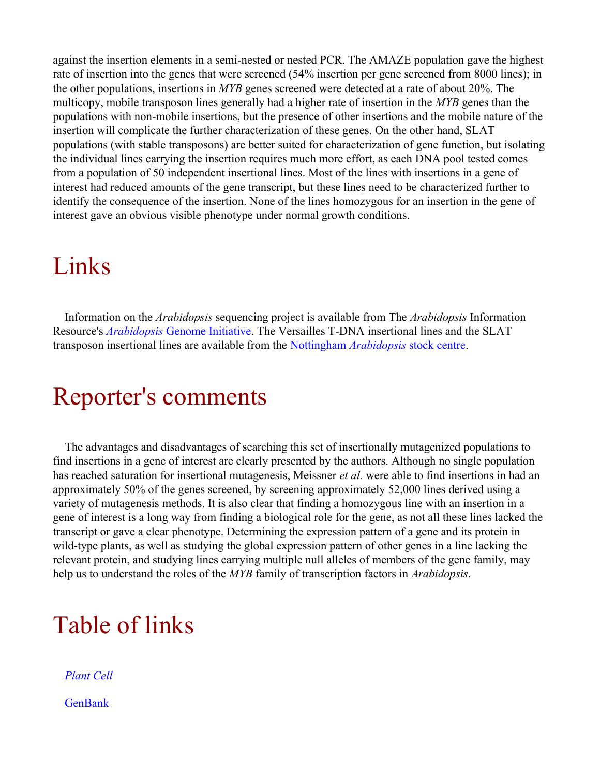against the insertion elements in a semi-nested or nested PCR. The AMAZE population gave the highest rate of insertion into the genes that were screened (54% insertion per gene screened from 8000 lines); in the other populations, insertions in *MYB* genes screened were detected at a rate of about 20%. The multicopy, mobile transposon lines generally had a higher rate of insertion in the *MYB* genes than the populations with non-mobile insertions, but the presence of other insertions and the mobile nature of the insertion will complicate the further characterization of these genes. On the other hand, SLAT populations (with stable transposons) are better suited for characterization of gene function, but isolating the individual lines carrying the insertion requires much more effort, as each DNA pool tested comes from a population of 50 independent insertional lines. Most of the lines with insertions in a gene of interest had reduced amounts of the gene transcript, but these lines need to be characterized further to identify the consequence of the insertion. None of the lines homozygous for an insertion in the gene of interest gave an obvious visible phenotype under normal growth conditions.

## Links

Information on the *Arabidopsis* sequencing project is available from The *Arabidopsis* Information Resource's *Arabidopsis* [Genome Initiative](http://www.arabidopsis.org/agi.html). The Versailles T-DNA insertional lines and the SLAT transposon insertional lines are available from the Nottingham *[Arabidopsis](http://nasc.nott.ac.uk/)* stock centre.

## Reporter's comments

The advantages and disadvantages of searching this set of insertionally mutagenized populations to find insertions in a gene of interest are clearly presented by the authors. Although no single population has reached saturation for insertional mutagenesis, Meissner *et al.* were able to find insertions in had an approximately 50% of the genes screened, by screening approximately 52,000 lines derived using a variety of mutagenesis methods. It is also clear that finding a homozygous line with an insertion in a gene of interest is a long way from finding a biological role for the gene, as not all these lines lacked the transcript or gave a clear phenotype. Determining the expression pattern of a gene and its protein in wild-type plants, as well as studying the global expression pattern of other genes in a line lacking the relevant protein, and studying lines carrying multiple null alleles of members of the gene family, may help us to understand the roles of the *MYB* family of transcription factors in *Arabidopsis*.

# Table of links

*[Plant Cell](http://intl.plantcell.org/)* **[GenBank](http://www.ncbi.nlm.nih.gov/Entrez/)**